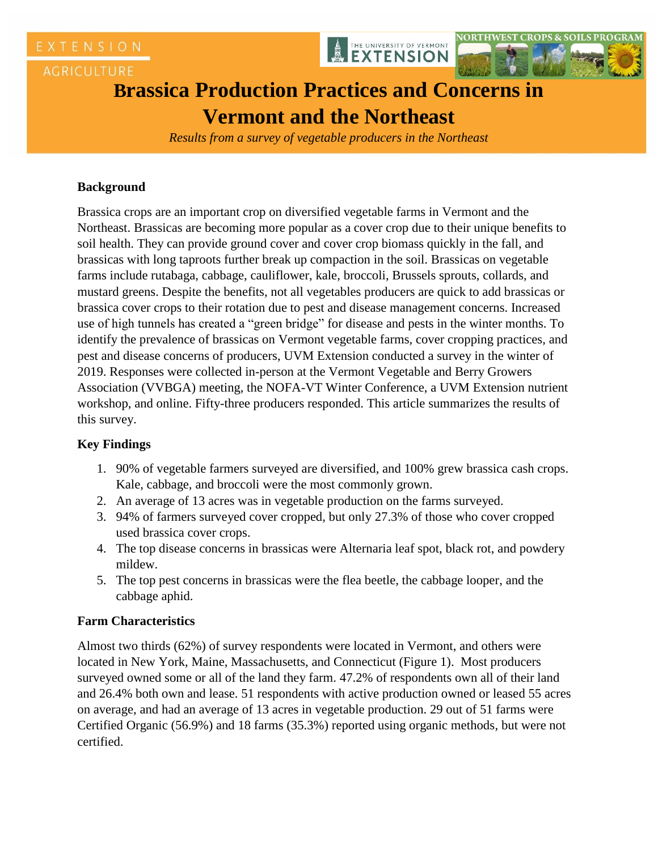





# **Brassica Production Practices and Concerns in Vermont and the Northeast**

*Results from a survey of vegetable producers in the Northeast*

### **Background**

Brassica crops are an important crop on diversified vegetable farms in Vermont and the Northeast. Brassicas are becoming more popular as a cover crop due to their unique benefits to soil health. They can provide ground cover and cover crop biomass quickly in the fall, and brassicas with long taproots further break up compaction in the soil. Brassicas on vegetable farms include rutabaga, cabbage, cauliflower, kale, broccoli, Brussels sprouts, collards, and mustard greens. Despite the benefits, not all vegetables producers are quick to add brassicas or brassica cover crops to their rotation due to pest and disease management concerns. Increased use of high tunnels has created a "green bridge" for disease and pests in the winter months. To identify the prevalence of brassicas on Vermont vegetable farms, cover cropping practices, and pest and disease concerns of producers, UVM Extension conducted a survey in the winter of 2019. Responses were collected in-person at the Vermont Vegetable and Berry Growers Association (VVBGA) meeting, the NOFA-VT Winter Conference, a UVM Extension nutrient workshop, and online. Fifty-three producers responded. This article summarizes the results of this survey.

## **Key Findings**

- 1. 90% of vegetable farmers surveyed are diversified, and 100% grew brassica cash crops. Kale, cabbage, and broccoli were the most commonly grown.
- 2. An average of 13 acres was in vegetable production on the farms surveyed.
- 3. 94% of farmers surveyed cover cropped, but only 27.3% of those who cover cropped used brassica cover crops.
- 4. The top disease concerns in brassicas were Alternaria leaf spot, black rot, and powdery mildew.
- 5. The top pest concerns in brassicas were the flea beetle, the cabbage looper, and the cabbage aphid.

### **Farm Characteristics**

Almost two thirds (62%) of survey respondents were located in Vermont, and others were located in New York, Maine, Massachusetts, and Connecticut (Figure 1). Most producers surveyed owned some or all of the land they farm. 47.2% of respondents own all of their land and 26.4% both own and lease. 51 respondents with active production owned or leased 55 acres on average, and had an average of 13 acres in vegetable production. 29 out of 51 farms were Certified Organic (56.9%) and 18 farms (35.3%) reported using organic methods, but were not certified.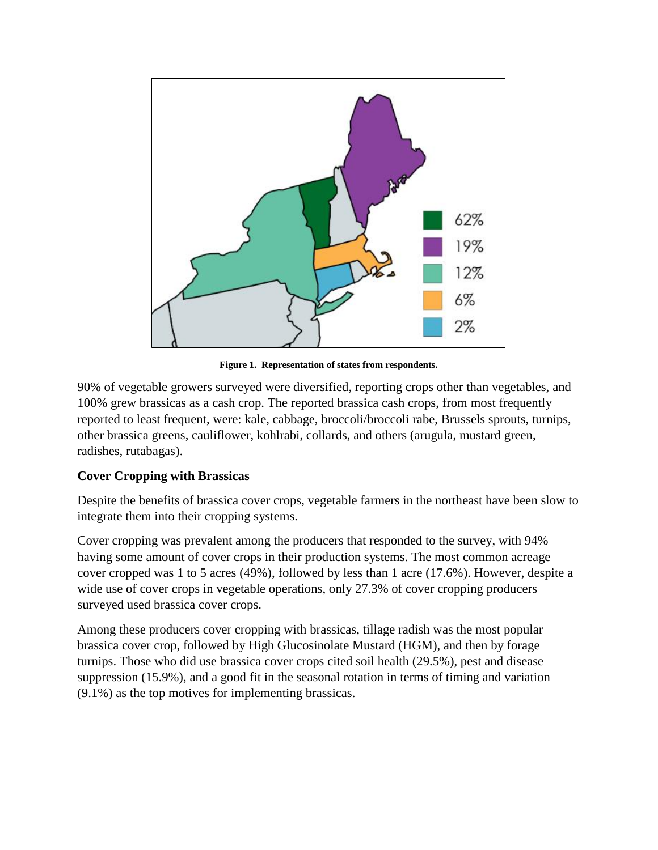

**Figure 1. Representation of states from respondents.**

90% of vegetable growers surveyed were diversified, reporting crops other than vegetables, and 100% grew brassicas as a cash crop. The reported brassica cash crops, from most frequently reported to least frequent, were: kale, cabbage, broccoli/broccoli rabe, Brussels sprouts, turnips, other brassica greens, cauliflower, kohlrabi, collards, and others (arugula, mustard green, radishes, rutabagas).

### **Cover Cropping with Brassicas**

Despite the benefits of brassica cover crops, vegetable farmers in the northeast have been slow to integrate them into their cropping systems.

Cover cropping was prevalent among the producers that responded to the survey, with 94% having some amount of cover crops in their production systems. The most common acreage cover cropped was 1 to 5 acres (49%), followed by less than 1 acre (17.6%). However, despite a wide use of cover crops in vegetable operations, only 27.3% of cover cropping producers surveyed used brassica cover crops.

Among these producers cover cropping with brassicas, tillage radish was the most popular brassica cover crop, followed by High Glucosinolate Mustard (HGM), and then by forage turnips. Those who did use brassica cover crops cited soil health (29.5%), pest and disease suppression (15.9%), and a good fit in the seasonal rotation in terms of timing and variation (9.1%) as the top motives for implementing brassicas.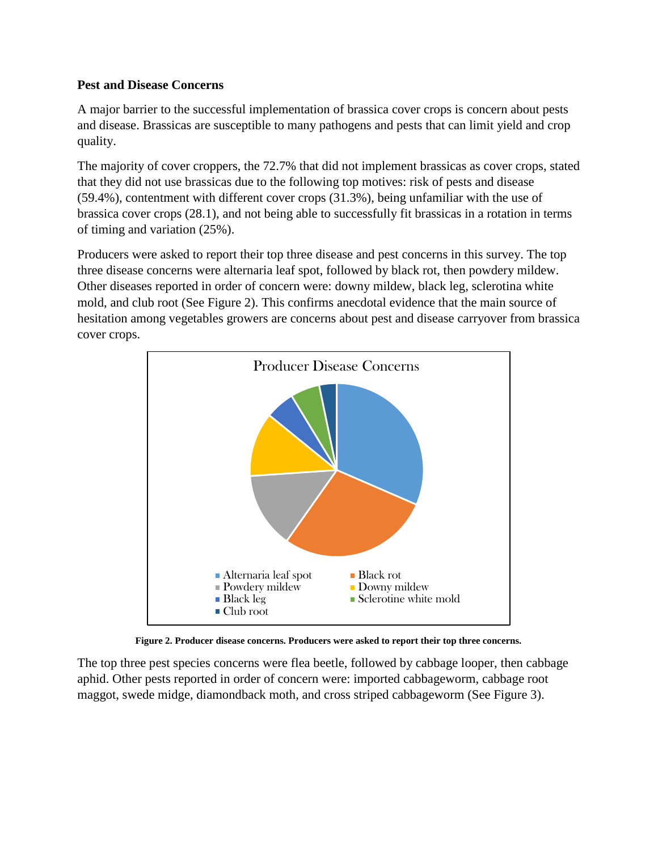#### **Pest and Disease Concerns**

A major barrier to the successful implementation of brassica cover crops is concern about pests and disease. Brassicas are susceptible to many pathogens and pests that can limit yield and crop quality.

The majority of cover croppers, the 72.7% that did not implement brassicas as cover crops, stated that they did not use brassicas due to the following top motives: risk of pests and disease (59.4%), contentment with different cover crops (31.3%), being unfamiliar with the use of brassica cover crops (28.1), and not being able to successfully fit brassicas in a rotation in terms of timing and variation (25%).

Producers were asked to report their top three disease and pest concerns in this survey. The top three disease concerns were alternaria leaf spot, followed by black rot, then powdery mildew. Other diseases reported in order of concern were: downy mildew, black leg, sclerotina white mold, and club root (See Figure 2). This confirms anecdotal evidence that the main source of hesitation among vegetables growers are concerns about pest and disease carryover from brassica cover crops.



**Figure 2. Producer disease concerns. Producers were asked to report their top three concerns.**

The top three pest species concerns were flea beetle, followed by cabbage looper, then cabbage aphid. Other pests reported in order of concern were: imported cabbageworm, cabbage root maggot, swede midge, diamondback moth, and cross striped cabbageworm (See Figure 3).